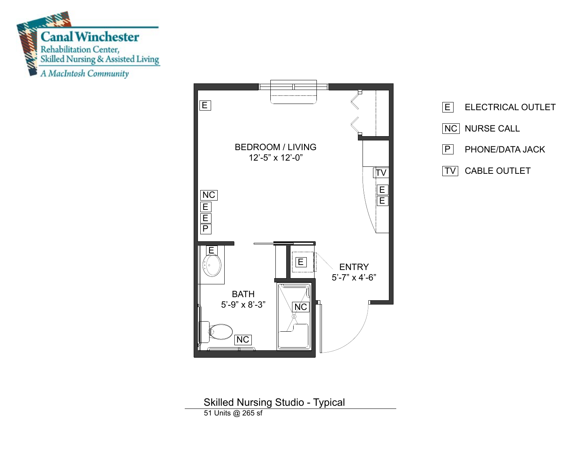





Skilled Nursing Studio - Typical 51 Units @ 265 sf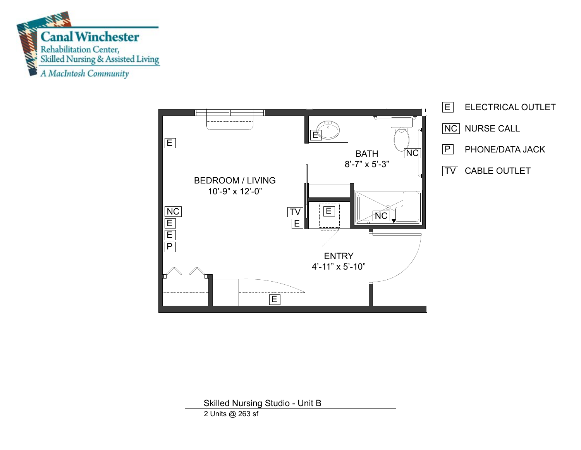



Skilled Nursing Studio - Unit B

2 Units @ 263 sf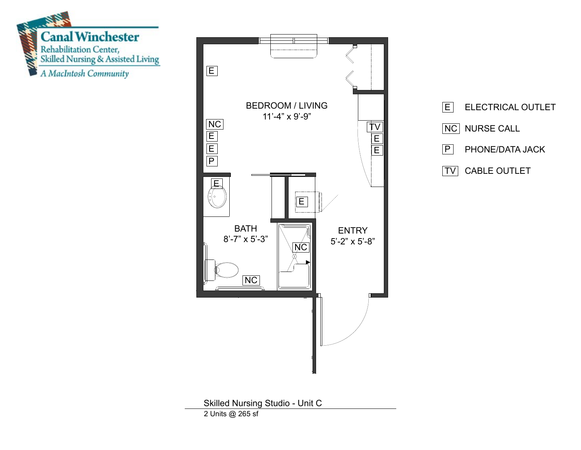





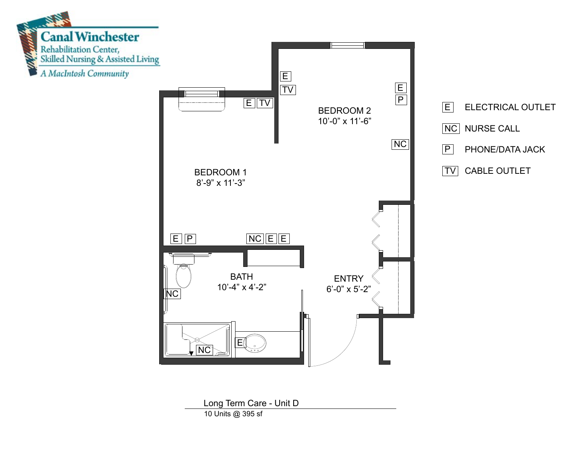

10 Units @ 395 sf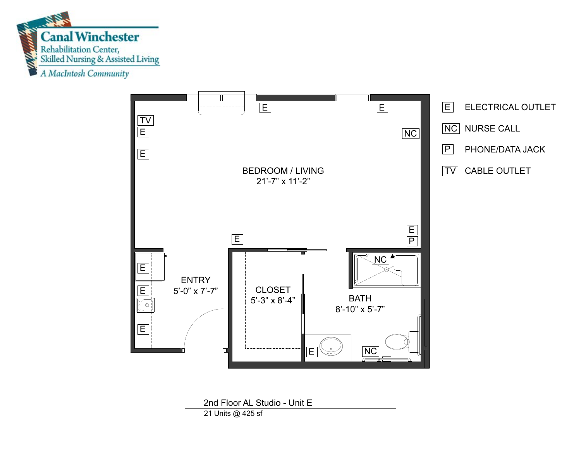



2nd Floor AL Studio - Unit E

21 Units @ 425 sf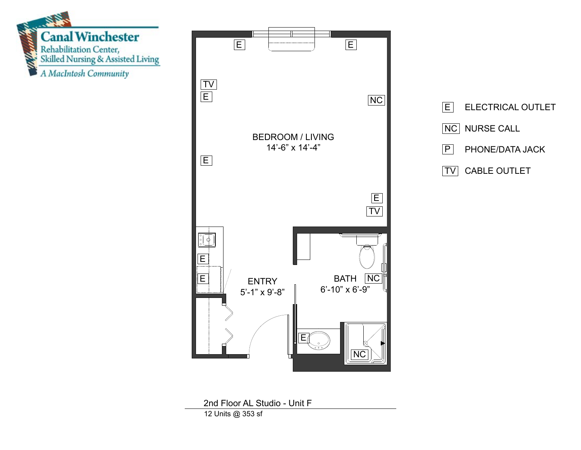

2nd Floor AL Studio - Unit F 12 Units @ 353 sf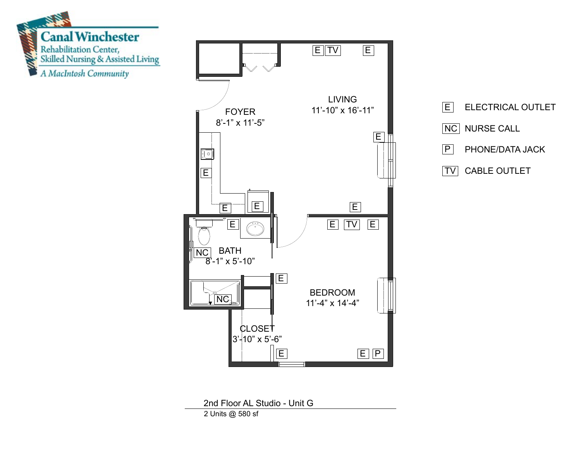





2nd Floor AL Studio - Unit G